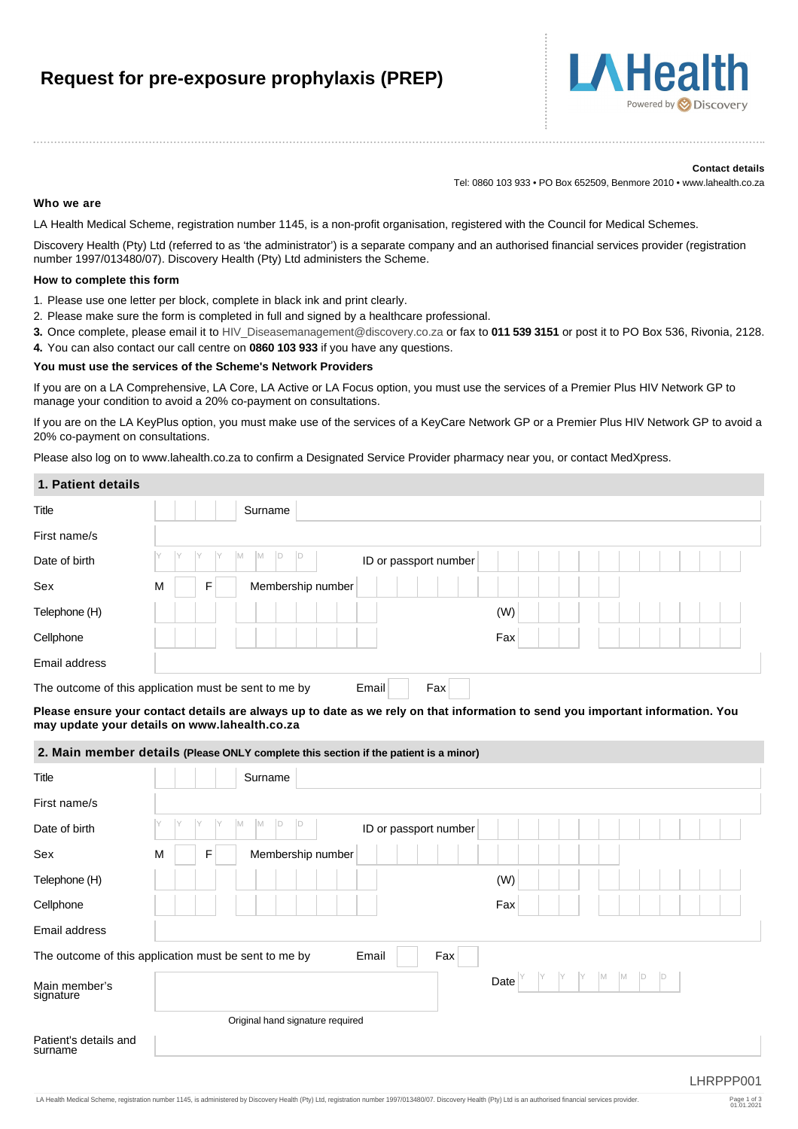# **Request for pre-exposure prophylaxis (PREP)**



#### **Contact details**

Tel: 0860 103 933 • PO Box 652509, Benmore 2010 • www.lahealth.co.za

#### **Who we are**

LA Health Medical Scheme, registration number 1145, is a non-profit organisation, registered with the Council for Medical Schemes.

Discovery Health (Pty) Ltd (referred to as 'the administrator') is a separate company and an authorised financial services provider (registration number 1997/013480/07). Discovery Health (Pty) Ltd administers the Scheme.

#### **How to complete this form**

- 1. Please use one letter per block, complete in black ink and print clearly.
- 2. Please make sure the form is completed in full and signed by a healthcare professional.
- **3.** Once complete, please email it to [HIV\\_Diseasemanagement@discovery.co.za](mailto:HIV_Diseasemanagement@discovery.co.za) or fax to **011 539 3151** or post it to PO Box 536, Rivonia, 2128.
- **4.** You can also contact our call centre on **0860 103 933** if you have any questions.

#### **You must use the services of the Scheme's Network Providers**

If you are on a LA Comprehensive, LA Core, LA Active or LA Focus option, you must use the services of a Premier Plus HIV Network GP to manage your condition to avoid a 20% co-payment on consultations.

If you are on the LA KeyPlus option, you must make use of the services of a KeyCare Network GP or a Premier Plus HIV Network GP to avoid a 20% co-payment on consultations.

Please also log on to www.lahealth.co.za to confirm a Designated Service Provider pharmacy near you, or contact MedXpress.

#### **1. Patient details**

| Title         | Surname                                                               |     |
|---------------|-----------------------------------------------------------------------|-----|
| First name/s  |                                                                       |     |
| Date of birth | IM.<br>IM.<br>ID<br>ID or passport number                             |     |
| Sex           | Membership number<br>M<br>F                                           |     |
| Telephone (H) |                                                                       | (W) |
| Cellphone     |                                                                       | Fax |
| Email address |                                                                       |     |
|               | Fax<br>The outcome of this application must be sent to me by<br>Email |     |

**Please ensure your contact details are always up to date as we rely on that information to send you important information. You may update your details on www.lahealth.co.za**

#### **2. Main member details (Please ONLY complete this section if the patient is a minor)**

| Title                            | Surname                                                               |                            |
|----------------------------------|-----------------------------------------------------------------------|----------------------------|
| First name/s                     |                                                                       |                            |
| Date of birth                    | M<br>Y<br>Y<br>M<br>D<br>ID or passport number                        |                            |
| Sex                              | Membership number<br>F<br>M                                           |                            |
| Telephone (H)                    |                                                                       | (W)                        |
| Cellphone                        |                                                                       | Fax                        |
| Email address                    |                                                                       |                            |
|                                  | Fax<br>The outcome of this application must be sent to me by<br>Email |                            |
| Main member's<br>signature       |                                                                       | M<br>M<br>ID<br>ID<br>Date |
|                                  | Original hand signature required                                      |                            |
| Patient's details and<br>surname |                                                                       | HRPPP001                   |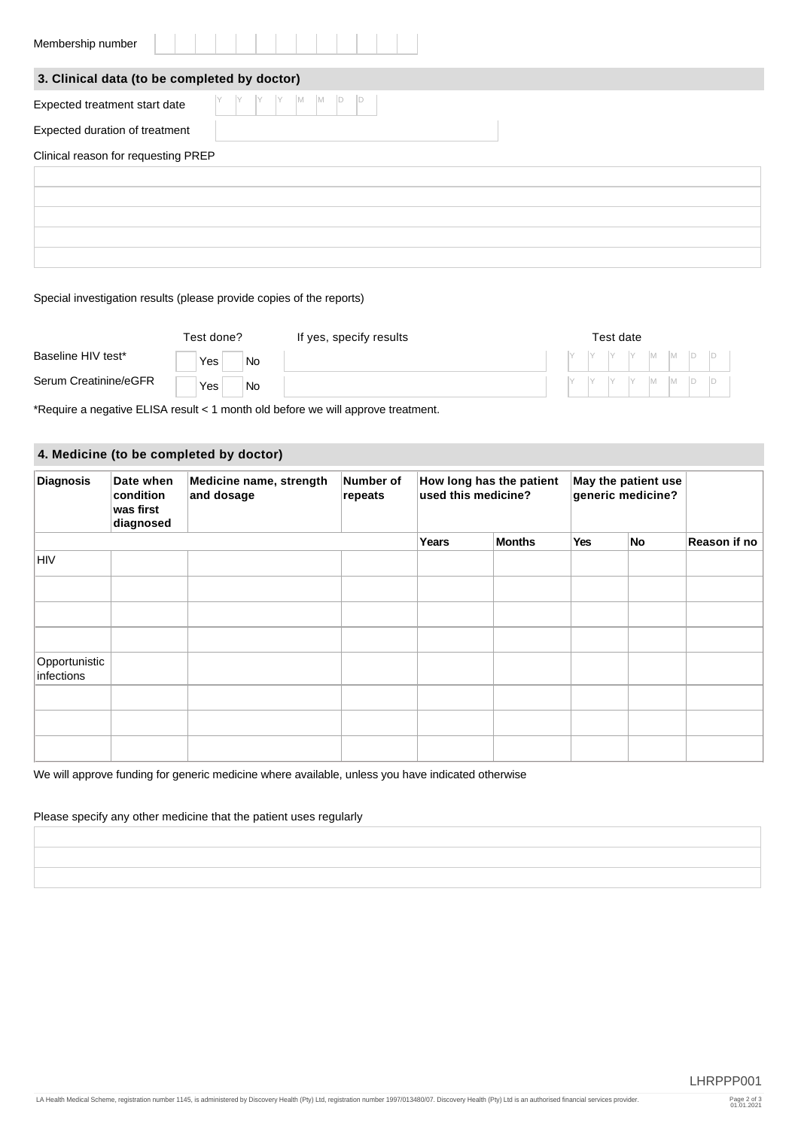| Membership number                            |                                                         |
|----------------------------------------------|---------------------------------------------------------|
| 3. Clinical data (to be completed by doctor) |                                                         |
| Expected treatment start date                | $\begin{bmatrix} Y &  M - M \end{bmatrix}$<br>$\vert$ D |
| Expected duration of treatment               |                                                         |
| Clinical reason for requesting PREP          |                                                         |
|                                              |                                                         |
|                                              |                                                         |
|                                              |                                                         |
|                                              |                                                         |
|                                              |                                                         |

### Special investigation results (please provide copies of the reports)

|                       | Test done? |           | If yes, specify results | Test date |  |  |  |  |  |                                                                                          |
|-----------------------|------------|-----------|-------------------------|-----------|--|--|--|--|--|------------------------------------------------------------------------------------------|
| Baseline HIV test*    | Yes        | <b>No</b> |                         |           |  |  |  |  |  |                                                                                          |
| Serum Creatinine/eGFR | Yes        | <b>No</b> |                         |           |  |  |  |  |  | $\begin{array}{c c c c c c c c c} \hline Y & Y & Y & M & M & D & D \ \hline \end{array}$ |

\*Require a negative ELISA result < 1 month old before we will approve treatment.

and the company of the company

## **4. Medicine (to be completed by doctor)**

| <b>Diagnosis</b>            | Date when<br>condition<br>was first<br>diagnosed | Medicine name, strength<br>and dosage | Number of<br>repeats | How long has the patient<br>used this medicine? |               | May the patient use<br>generic medicine? |    |              |
|-----------------------------|--------------------------------------------------|---------------------------------------|----------------------|-------------------------------------------------|---------------|------------------------------------------|----|--------------|
|                             |                                                  |                                       |                      | Years                                           | <b>Months</b> | Yes                                      | No | Reason if no |
| <b>HIV</b>                  |                                                  |                                       |                      |                                                 |               |                                          |    |              |
|                             |                                                  |                                       |                      |                                                 |               |                                          |    |              |
|                             |                                                  |                                       |                      |                                                 |               |                                          |    |              |
|                             |                                                  |                                       |                      |                                                 |               |                                          |    |              |
| Opportunistic<br>infections |                                                  |                                       |                      |                                                 |               |                                          |    |              |
|                             |                                                  |                                       |                      |                                                 |               |                                          |    |              |
|                             |                                                  |                                       |                      |                                                 |               |                                          |    |              |
|                             |                                                  |                                       |                      |                                                 |               |                                          |    |              |

We will approve funding for generic medicine where available, unless you have indicated otherwise

#### Please specify any other medicine that the patient uses regularly